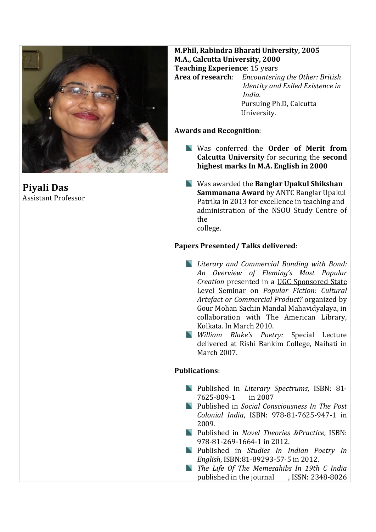

**Piyali Das** Assistant Professor

## **M.Phil, Rabindra Bharati University, 2005 M.A., Calcutta University, 2000 Teaching Experience**: 15 years **Area of research**: *Encountering the Other: British Identity and Exiled Existence in*

 *India.*  Pursuing Ph.D, Calcutta University.

## **Awards and Recognition**:

- Was conferred the **Order of Merit from Calcutta University** for securing the **second highest marks In M.A. English in 2000**
- Was awarded the **Banglar Upakul Shikshan Sammanana Award** by ANTC Banglar Upakul Patrika in 2013 for excellence in teaching and administration of the NSOU Study Centre of the college.

## **Papers Presented/ Talks delivered**:

- *Literary and Commercial Bonding with Bond: An Overview of Fleming's Most Popular Creation* presented in a UGC Sponsored State Level Seminar on *Popular Fiction: Cultural Artefact or Commercial Product?* organized by Gour Mohan Sachin Mandal Mahavidyalaya, in collaboration with The American Library, Kolkata. In March 2010.
- *William Blake's Poetry:* Special Lecture delivered at Rishi Bankim College, Naihati in March 2007.

## **Publications**:

- Published in *Literary Spectrums*, ISBN: 81- 7625-809-1 in 2007
- Published in *Social Consciousness In The Post Colonial India*, ISBN: 978-81-7625-947-1 in 2009.
- Published in *Novel Theories &Practice,* ISBN: 978-81-269-1664-1 in 2012.
- Published in *Studies In Indian Poetry In English*, ISBN:81-89293-57-5 in 2012.
- *The Life Of The Memesahibs In 19th C India* published in the journal , ISSN: 2348-8026